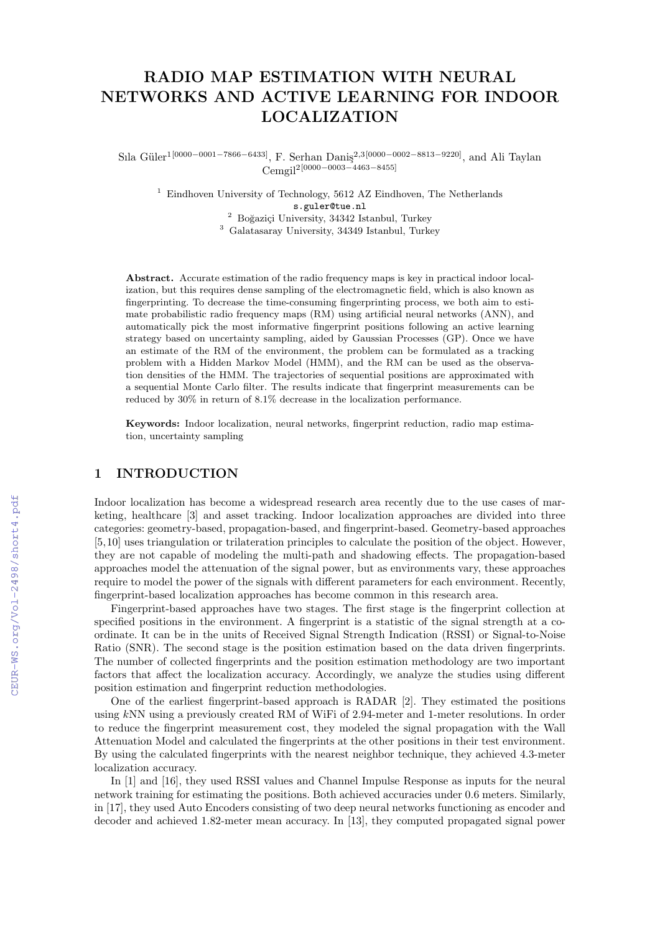# RADIO MAP ESTIMATION WITH NEURAL NETWORKS AND ACTIVE LEARNING FOR INDOOR LOCALIZATION

Sıla Güler<sup>1[0000–0001–7866–6433]</sup>, F. Serhan Daniş<sup>2,3[0000–0002–8813–9220], and Ali Taylan</sup> Cemgil2[0000−0003−4463−8455]

 $^1\,$  Eindhoven University of Technology, 5612 AZ Eindhoven, The Netherlands s.guler@tue.nl  $2$  Boğazici University, 34342 Istanbul, Turkey

<sup>3</sup> Galatasaray University, 34349 Istanbul, Turkey

Abstract. Accurate estimation of the radio frequency maps is key in practical indoor localization, but this requires dense sampling of the electromagnetic field, which is also known as fingerprinting. To decrease the time-consuming fingerprinting process, we both aim to estimate probabilistic radio frequency maps (RM) using artificial neural networks (ANN), and automatically pick the most informative fingerprint positions following an active learning strategy based on uncertainty sampling, aided by Gaussian Processes (GP). Once we have an estimate of the RM of the environment, the problem can be formulated as a tracking problem with a Hidden Markov Model (HMM), and the RM can be used as the observation densities of the HMM. The trajectories of sequential positions are approximated with a sequential Monte Carlo filter. The results indicate that fingerprint measurements can be reduced by 30% in return of 8.1% decrease in the localization performance.

Keywords: Indoor localization, neural networks, fingerprint reduction, radio map estimation, uncertainty sampling

## 1 INTRODUCTION

Indoor localization has become a widespread research area recently due to the use cases of marketing, healthcare [\[3\]](#page--1-0) and asset tracking. Indoor localization approaches are divided into three categories: geometry-based, propagation-based, and fingerprint-based. Geometry-based approaches [\[5,](#page--1-1)[10\]](#page--1-2) uses triangulation or trilateration principles to calculate the position of the object. However, they are not capable of modeling the multi-path and shadowing effects. The propagation-based approaches model the attenuation of the signal power, but as environments vary, these approaches require to model the power of the signals with different parameters for each environment. Recently, fingerprint-based localization approaches has become common in this research area.

Fingerprint-based approaches have two stages. The first stage is the fingerprint collection at specified positions in the environment. A fingerprint is a statistic of the signal strength at a coordinate. It can be in the units of Received Signal Strength Indication (RSSI) or Signal-to-Noise Ratio (SNR). The second stage is the position estimation based on the data driven fingerprints. The number of collected fingerprints and the position estimation methodology are two important factors that affect the localization accuracy. Accordingly, we analyze the studies using different position estimation and fingerprint reduction methodologies.

One of the earliest fingerprint-based approach is RADAR [\[2\]](#page--1-3). They estimated the positions using kNN using a previously created RM of WiFi of 2.94-meter and 1-meter resolutions. In order to reduce the fingerprint measurement cost, they modeled the signal propagation with the Wall Attenuation Model and calculated the fingerprints at the other positions in their test environment. By using the calculated fingerprints with the nearest neighbor technique, they achieved 4.3-meter localization accuracy.

In [\[1\]](#page--1-4) and [\[16\]](#page--1-5), they used RSSI values and Channel Impulse Response as inputs for the neural network training for estimating the positions. Both achieved accuracies under 0.6 meters. Similarly, in [\[17\]](#page--1-6), they used Auto Encoders consisting of two deep neural networks functioning as encoder and decoder and achieved 1.82-meter mean accuracy. In [\[13\]](#page--1-7), they computed propagated signal power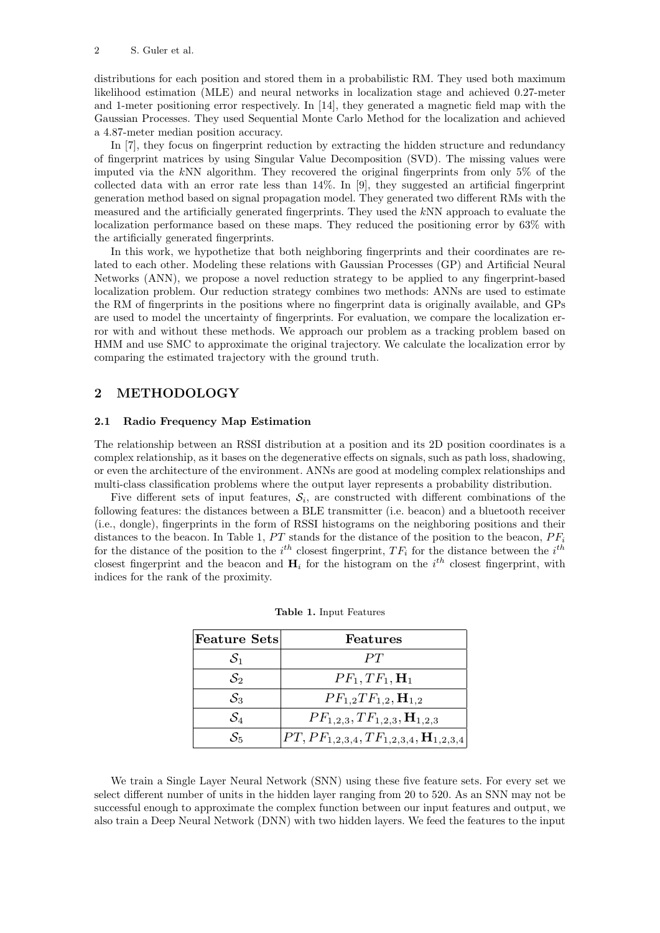distributions for each position and stored them in a probabilistic RM. They used both maximum likelihood estimation (MLE) and neural networks in localization stage and achieved 0.27-meter and 1-meter positioning error respectively. In [\[14\]](#page-6-0), they generated a magnetic field map with the Gaussian Processes. They used Sequential Monte Carlo Method for the localization and achieved a 4.87-meter median position accuracy.

In [\[7\]](#page-6-1), they focus on fingerprint reduction by extracting the hidden structure and redundancy of fingerprint matrices by using Singular Value Decomposition (SVD). The missing values were imputed via the  $kNN$  algorithm. They recovered the original fingerprints from only 5% of the collected data with an error rate less than 14%. In [\[9\]](#page-6-2), they suggested an artificial fingerprint generation method based on signal propagation model. They generated two different RMs with the measured and the artificially generated fingerprints. They used the kNN approach to evaluate the localization performance based on these maps. They reduced the positioning error by 63% with the artificially generated fingerprints.

In this work, we hypothetize that both neighboring fingerprints and their coordinates are related to each other. Modeling these relations with Gaussian Processes (GP) and Artificial Neural Networks (ANN), we propose a novel reduction strategy to be applied to any fingerprint-based localization problem. Our reduction strategy combines two methods: ANNs are used to estimate the RM of fingerprints in the positions where no fingerprint data is originally available, and GPs are used to model the uncertainty of fingerprints. For evaluation, we compare the localization error with and without these methods. We approach our problem as a tracking problem based on HMM and use SMC to approximate the original trajectory. We calculate the localization error by comparing the estimated trajectory with the ground truth.

## 2 METHODOLOGY

#### 2.1 Radio Frequency Map Estimation

The relationship between an RSSI distribution at a position and its 2D position coordinates is a complex relationship, as it bases on the degenerative effects on signals, such as path loss, shadowing, or even the architecture of the environment. ANNs are good at modeling complex relationships and multi-class classification problems where the output layer represents a probability distribution.

Five different sets of input features,  $S_i$ , are constructed with different combinations of the following features: the distances between a BLE transmitter (i.e. beacon) and a bluetooth receiver (i.e., dongle), fingerprints in the form of RSSI histograms on the neighboring positions and their distances to the beacon. In Table [1,](#page-1-0)  $PT$  stands for the distance of the position to the beacon,  $PF_i$ for the distance of the position to the  $i^{th}$  closest fingerprint,  $TF_i$  for the distance between the  $i^{th}$ closest fingerprint and the beacon and  $H_i$  for the histogram on the  $i^{th}$  closest fingerprint, with indices for the rank of the proximity.

| $ {\rm Feature\ Sets} $ | Features                                               |
|-------------------------|--------------------------------------------------------|
| $S_1$                   | PT                                                     |
| $\mathcal{S}_2$         | $PF_1,TF_1, H_1$                                       |
| $\mathcal{S}_3$         | $PF_{1,2}TF_{1,2}, \mathbf{H}_{1,2}$                   |
| $\mathcal{S}_4$         | $PF_{1,2,3}, TF_{1,2,3}, \mathbf{H}_{1,2,3}$           |
| $\mathcal{S}_5$         | $PT, PF_{1,2,3,4}, TF_{1,2,3,4}, \mathbf{H}_{1,2,3,4}$ |

<span id="page-1-0"></span>Table 1. Input Features

We train a Single Layer Neural Network (SNN) using these five feature sets. For every set we select different number of units in the hidden layer ranging from 20 to 520. As an SNN may not be successful enough to approximate the complex function between our input features and output, we also train a Deep Neural Network (DNN) with two hidden layers. We feed the features to the input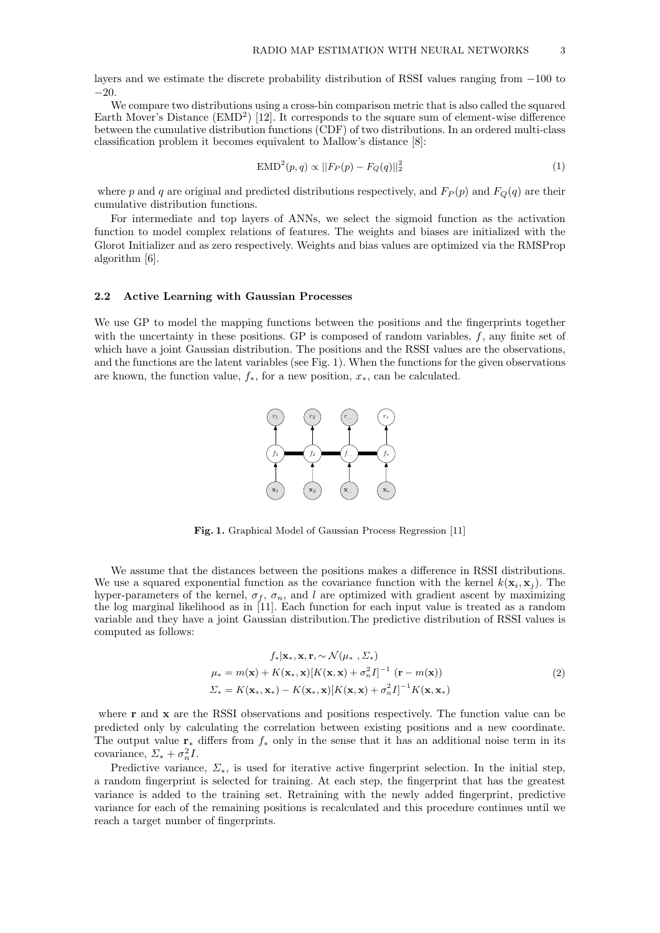layers and we estimate the discrete probability distribution of RSSI values ranging from −100 to −20.

We compare two distributions using a cross-bin comparison metric that is also called the squared Earth Mover's Distance  $(EMD<sup>2</sup>)$  [\[12\]](#page-6-3). It corresponds to the square sum of element-wise difference between the cumulative distribution functions (CDF) of two distributions. In an ordered multi-class classification problem it becomes equivalent to Mallow's distance [\[8\]](#page-6-4):

$$
EMD^{2}(p,q) \propto ||F_{P}(p) - F_{Q}(q)||_{2}^{2}
$$
\n(1)

where p and q are original and predicted distributions respectively, and  $F_P(p)$  and  $F_Q(q)$  are their cumulative distribution functions.

For intermediate and top layers of ANNs, we select the sigmoid function as the activation function to model complex relations of features. The weights and biases are initialized with the Glorot Initializer and as zero respectively. Weights and bias values are optimized via the RMSProp algorithm [\[6\]](#page-6-5).

#### 2.2 Active Learning with Gaussian Processes

We use GP to model the mapping functions between the positions and the fingerprints together with the uncertainty in these positions. GP is composed of random variables,  $f$ , any finite set of which have a joint Gaussian distribution. The positions and the RSSI values are the observations, and the functions are the latent variables (see Fig. [1\)](#page-2-0). When the functions for the given observations are known, the function value,  $f_*$ , for a new position,  $x_*$ , can be calculated.



<span id="page-2-0"></span>Fig. 1. Graphical Model of Gaussian Process Regression [\[11\]](#page-6-6)

We assume that the distances between the positions makes a difference in RSSI distributions. We use a squared exponential function as the covariance function with the kernel  $k(\mathbf{x}_i, \mathbf{x}_j)$ . The hyper-parameters of the kernel,  $\sigma_f$ ,  $\sigma_n$ , and l are optimized with gradient ascent by maximizing the log marginal likelihood as in [\[11\]](#page-6-6). Each function for each input value is treated as a random variable and they have a joint Gaussian distribution.The predictive distribution of RSSI values is computed as follows:

$$
f_*|\mathbf{x}_*, \mathbf{x}, \mathbf{r}, \sim \mathcal{N}(\mu_*, \Sigma_*)
$$
  
\n
$$
\mu_* = m(\mathbf{x}) + K(\mathbf{x}_*, \mathbf{x})[K(\mathbf{x}, \mathbf{x}) + \sigma_n^2 I]^{-1} (\mathbf{r} - m(\mathbf{x}))
$$
  
\n
$$
\Sigma_* = K(\mathbf{x}_*, \mathbf{x}_*) - K(\mathbf{x}_*, \mathbf{x})[K(\mathbf{x}, \mathbf{x}) + \sigma_n^2 I]^{-1} K(\mathbf{x}, \mathbf{x}_*)
$$
\n(2)

where r and x are the RSSI observations and positions respectively. The function value can be predicted only by calculating the correlation between existing positions and a new coordinate. The output value  $\mathbf{r}_*$  differs from  $f_*$  only in the sense that it has an additional noise term in its covariance,  $\Sigma_* + \sigma_n^2 I$ .

Predictive variance,  $\Sigma_*$ , is used for iterative active fingerprint selection. In the initial step, a random fingerprint is selected for training. At each step, the fingerprint that has the greatest variance is added to the training set. Retraining with the newly added fingerprint, predictive variance for each of the remaining positions is recalculated and this procedure continues until we reach a target number of fingerprints.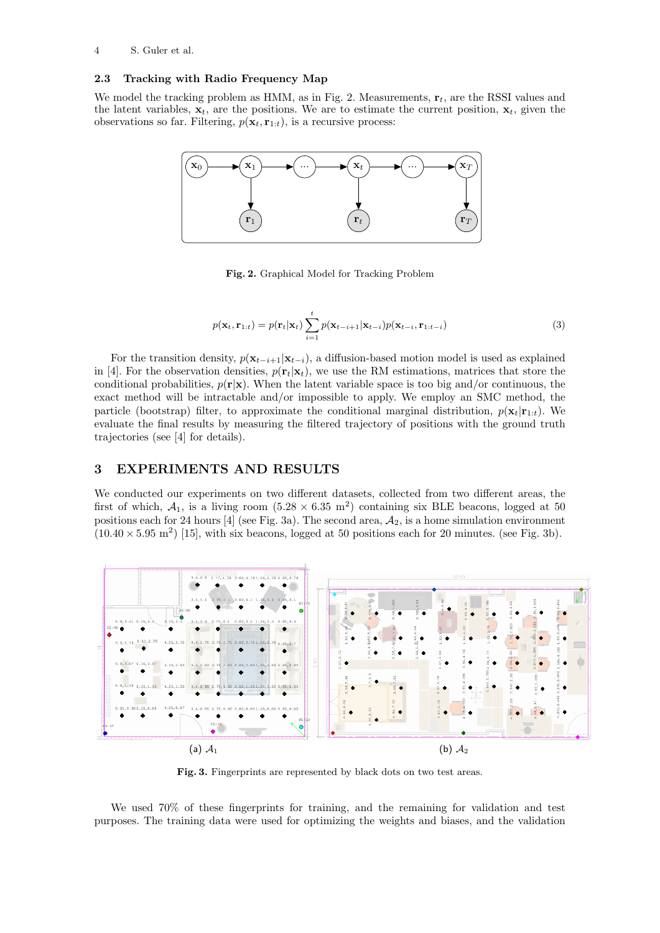### 2.3 Tracking with Radio Frequency Map

We model the tracking problem as HMM, as in Fig. [2.](#page-3-0) Measurements,  $\mathbf{r}_t$ , are the RSSI values and the latent variables,  $\mathbf{x}_t$ , are the positions. We are to estimate the current position,  $\mathbf{x}_t$ , given the observations so far. Filtering,  $p(\mathbf{x}_t, \mathbf{r}_{1:t})$ , is a recursive process:



<span id="page-3-0"></span>Fig. 2. Graphical Model for Tracking Problem

$$
p(\mathbf{x}_t, \mathbf{r}_{1:t}) = p(\mathbf{r}_t|\mathbf{x}_t) \sum_{i=1}^t p(\mathbf{x}_{t-i+1}|\mathbf{x}_{t-i}) p(\mathbf{x}_{t-i}, \mathbf{r}_{1:t-i})
$$
\n(3)

For the transition density,  $p(\mathbf{x}_{t-i+1}|\mathbf{x}_{t-i})$ , a diffusion-based motion model is used as explained in [\[4\]](#page-6-7). For the observation densities,  $p(\mathbf{r}_t|\mathbf{x}_t)$ , we use the RM estimations, matrices that store the conditional probabilities,  $p(\mathbf{r}|\mathbf{x})$ . When the latent variable space is too big and/or continuous, the exact method will be intractable and/or impossible to apply. We employ an SMC method, the particle (bootstrap) filter, to approximate the conditional marginal distribution,  $p(\mathbf{x}_t|\mathbf{r}_{1:t})$ . We evaluate the final results by measuring the filtered trajectory of positions with the ground truth trajectories (see [\[4\]](#page-6-7) for details).

### 3 EXPERIMENTS AND RESULTS

We conducted our experiments on two different datasets, collected from two different areas, the first of which,  $A_1$ , is a living room  $(5.28 \times 6.35 \text{ m}^2)$  containing six BLE beacons, logged at 50 positions each for 24 hours [\[4\]](#page-6-7) (see Fig. [3a\)](#page-3-1). The second area,  $A_2$ , is a home simulation environment  $(10.40 \times 5.95 \text{ m}^2)$  [\[15\]](#page-6-8), with six beacons, logged at 50 positions each for 20 minutes. (see Fig. [3b\)](#page-3-2).

<span id="page-3-1"></span>

<span id="page-3-2"></span>Fig. 3. Fingerprints are represented by black dots on two test areas.

We used 70% of these fingerprints for training, and the remaining for validation and test purposes. The training data were used for optimizing the weights and biases, and the validation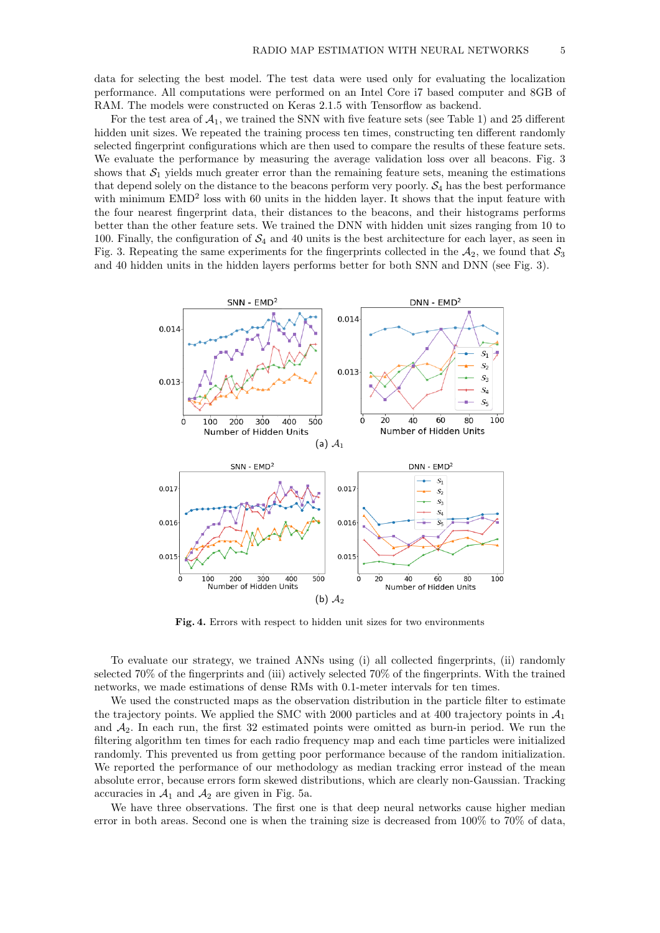data for selecting the best model. The test data were used only for evaluating the localization performance. All computations were performed on an Intel Core i7 based computer and 8GB of RAM. The models were constructed on Keras 2.1.5 with Tensorflow as backend.

For the test area of  $A_1$ , we trained the SNN with five feature sets (see Table [1\)](#page-1-0) and 25 different hidden unit sizes. We repeated the training process ten times, constructing ten different randomly selected fingerprint configurations which are then used to compare the results of these feature sets. We evaluate the performance by measuring the average validation loss over all beacons. Fig. [3](#page-4-0) shows that  $S_1$  yields much greater error than the remaining feature sets, meaning the estimations that depend solely on the distance to the beacons perform very poorly.  $S_4$  has the best performance with minimum  $EMD<sup>2</sup>$  loss with 60 units in the hidden layer. It shows that the input feature with the four nearest fingerprint data, their distances to the beacons, and their histograms performs better than the other feature sets. We trained the DNN with hidden unit sizes ranging from 10 to 100. Finally, the configuration of  $\mathcal{S}_4$  and 40 units is the best architecture for each layer, as seen in Fig. [3.](#page-4-0) Repeating the same experiments for the fingerprints collected in the  $A_2$ , we found that  $S_3$ and 40 hidden units in the hidden layers performs better for both SNN and DNN (see Fig. [3\)](#page-4-1).

<span id="page-4-1"></span><span id="page-4-0"></span>

Fig. 4. Errors with respect to hidden unit sizes for two environments

To evaluate our strategy, we trained ANNs using (i) all collected fingerprints, (ii) randomly selected 70% of the fingerprints and (iii) actively selected 70% of the fingerprints. With the trained networks, we made estimations of dense RMs with 0.1-meter intervals for ten times.

We used the constructed maps as the observation distribution in the particle filter to estimate the trajectory points. We applied the SMC with 2000 particles and at 400 trajectory points in  $A_1$ and  $A_2$ . In each run, the first 32 estimated points were omitted as burn-in period. We run the filtering algorithm ten times for each radio frequency map and each time particles were initialized randomly. This prevented us from getting poor performance because of the random initialization. We reported the performance of our methodology as median tracking error instead of the mean absolute error, because errors form skewed distributions, which are clearly non-Gaussian. Tracking accuracies in  $\mathcal{A}_1$  and  $\mathcal{A}_2$  are given in Fig. [5a.](#page-5-0)

We have three observations. The first one is that deep neural networks cause higher median error in both areas. Second one is when the training size is decreased from 100% to 70% of data,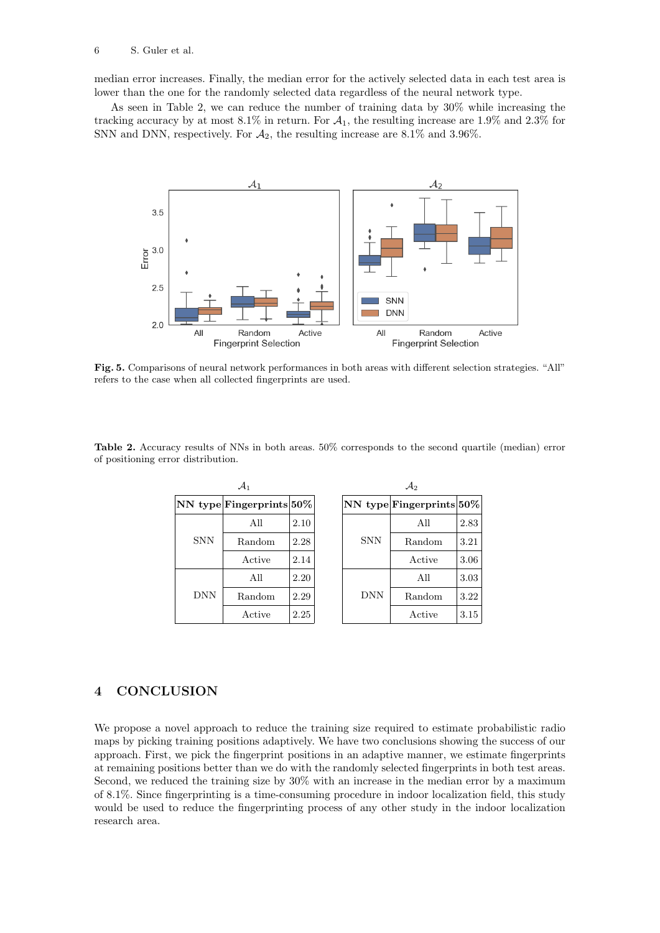median error increases. Finally, the median error for the actively selected data in each test area is lower than the one for the randomly selected data regardless of the neural network type.

As seen in Table [2,](#page-5-1) we can reduce the number of training data by 30% while increasing the tracking accuracy by at most  $8.1\%$  in return. For  $A_1$ , the resulting increase are 1.9% and 2.3% for SNN and DNN, respectively. For  $A_2$ , the resulting increase are 8.1% and 3.96%.

<span id="page-5-0"></span>

Fig. 5. Comparisons of neural network performances in both areas with different selection strategies. "All" refers to the case when all collected fingerprints are used.

<span id="page-5-1"></span>Table 2. Accuracy results of NNs in both areas. 50% corresponds to the second quartile (median) error of positioning error distribution.

| $\mathcal{A}_1$ |                               |      |  | $\mathcal{A}_2$ |                          |      |
|-----------------|-------------------------------|------|--|-----------------|--------------------------|------|
|                 | $NN$ type Fingerprints $50\%$ |      |  |                 | NN type Fingerprints 50% |      |
| <b>SNN</b>      | All                           | 2.10 |  | <b>SNN</b>      | All                      | 2.83 |
|                 | Random                        | 2.28 |  |                 | Random                   | 3.21 |
|                 | Active                        | 2.14 |  |                 | Active                   | 3.06 |
| <b>DNN</b>      | All                           | 2.20 |  | <b>DNN</b>      | All                      | 3.03 |
|                 | Random                        | 2.29 |  |                 | Random                   | 3.22 |
|                 | Active                        | 2.25 |  | Active          | 3.15                     |      |

## 4 CONCLUSION

We propose a novel approach to reduce the training size required to estimate probabilistic radio maps by picking training positions adaptively. We have two conclusions showing the success of our approach. First, we pick the fingerprint positions in an adaptive manner, we estimate fingerprints at remaining positions better than we do with the randomly selected fingerprints in both test areas. Second, we reduced the training size by 30% with an increase in the median error by a maximum of 8.1%. Since fingerprinting is a time-consuming procedure in indoor localization field, this study would be used to reduce the fingerprinting process of any other study in the indoor localization research area.